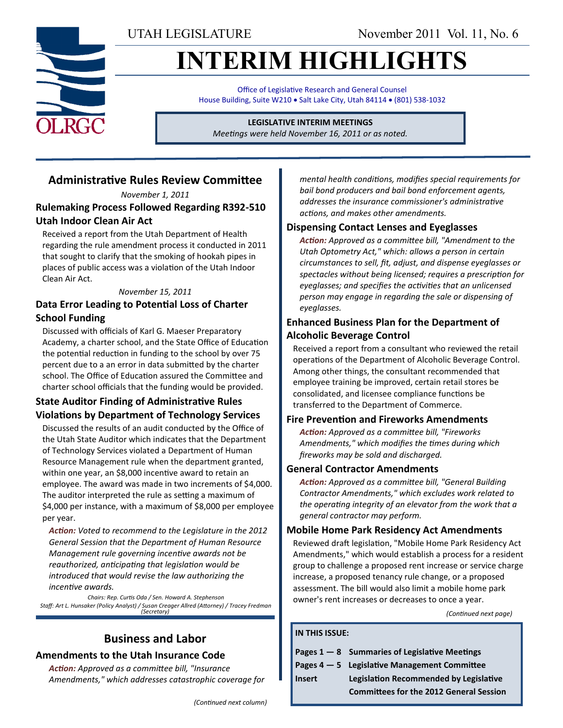# **INTERIM HIGHLIGHTS**

Office of Legislative Research and General Counsel House Building, Suite W210 . Salt Lake City, Utah 84114 . (801) 538-1032

**LEGISLATIVE INTERIM MEETINGS**

*Meetings were held November 16, 2011 or as noted.*

# **Administrative Rules Review Committee**

*November 1, 2011*

**Rulemaking Process Followed Regarding R392-510 Utah Indoor Clean Air Act**

Received a report from the Utah Department of Health regarding the rule amendment process it conducted in 2011 that sought to clarify that the smoking of hookah pipes in places of public access was a violation of the Utah Indoor Clean Air Act.

#### *November 15, 2011*

#### **Data Error Leading to Potential Loss of Charter School Funding**

Discussed with officials of Karl G. Maeser Preparatory Academy, a charter school, and the State Office of Education the potential reduction in funding to the school by over 75 percent due to a an error in data submitted by the charter school. The Office of Education assured the Committee and charter school officials that the funding would be provided.

#### **State Auditor Finding of Administrative Rules Violations by Department of Technology Services**

Discussed the results of an audit conducted by the Office of the Utah State Auditor which indicates that the Department of Technology Services violated a Department of Human Resource Management rule when the department granted, within one year, an \$8,000 incentive award to retain an employee. The award was made in two increments of \$4,000. The auditor interpreted the rule as setting a maximum of \$4,000 per instance, with a maximum of \$8,000 per employee per year.

*Action: Voted to recommend to the Legislature in the 2012 General Session that the Department of Human Resource Management rule governing incentive awards not be reauthorized, anticipating that legislation would be introduced that would revise the law authorizing the incentive awards.*

*Chairs: Rep. Curtis Oda / Sen. Howard A. Stephenson Staff: Art L. Hunsaker (Policy Analyst) / Susan Creager Allred (Attorney) / Tracey Fredman (Secretary)*

### **Business and Labor Amendments to the Utah Insurance Code**

*Action: Approved as a committee bill, "Insurance Amendments," which addresses catastrophic coverage for*  *mental health conditions, modifies special requirements for bail bond producers and bail bond enforcement agents, addresses the insurance commissioner's administrative actions, and makes other amendments.*

#### **Dispensing Contact Lenses and Eyeglasses**

*Action: Approved as a committee bill, "Amendment to the Utah Optometry Act," which: allows a person in certain circumstances to sell, fit, adjust, and dispense eyeglasses or spectacles without being licensed; requires a prescription for eyeglasses; and specifies the activities that an unlicensed person may engage in regarding the sale or dispensing of eyeglasses.*

#### **Enhanced Business Plan for the Department of Alcoholic Beverage Control**

Received a report from a consultant who reviewed the retail operations of the Department of Alcoholic Beverage Control. Among other things, the consultant recommended that employee training be improved, certain retail stores be consolidated, and licensee compliance functions be transferred to the Department of Commerce.

#### **Fire Prevention and Fireworks Amendments**

*Action: Approved as a committee bill, "Fireworks Amendments," which modifies the times during which fireworks may be sold and discharged.*

#### **General Contractor Amendments**

*Action: Approved as a committee bill, "General Building Contractor Amendments," which excludes work related to the operating integrity of an elevator from the work that a general contractor may perform.*

#### **Mobile Home Park Residency Act Amendments**

Reviewed draft legislation, "Mobile Home Park Residency Act Amendments," which would establish a process for a resident group to challenge a proposed rent increase or service charge increase, a proposed tenancy rule change, or a proposed assessment. The bill would also limit a mobile home park owner's rent increases or decreases to once a year.

*(Continued next page)*

#### **IN THIS ISSUE:**

|               | Pages $1 - 8$ Summaries of Legislative Meetings |
|---------------|-------------------------------------------------|
|               | Pages $4-5$ Legislative Management Committee    |
| <b>Insert</b> | <b>Legislation Recommended by Legislative</b>   |

**Committees for the 2012 General Session**

*(Continued next column)*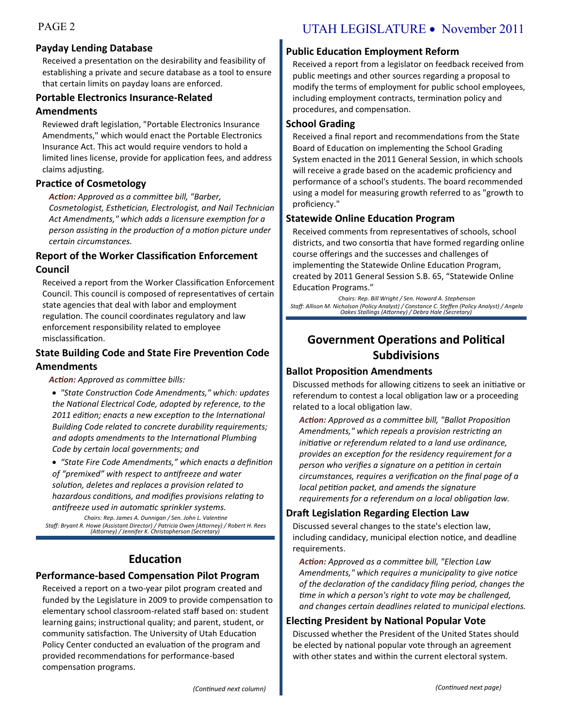#### **Payday Lending Database**

Received a presentation on the desirability and feasibility of establishing a private and secure database as a tool to ensure that certain limits on payday loans are enforced.

#### **Portable Electronics Insurance-Related Amendments**

Reviewed draft legislation, "Portable Electronics Insurance Amendments," which would enact the Portable Electronics Insurance Act. This act would require vendors to hold a limited lines license, provide for application fees, and address claims adjusting.

#### **Practice of Cosmetology**

*Action: Approved as a committee bill, "Barber, Cosmetologist, Esthetician, Electrologist, and Nail Technician Act Amendments," which adds a licensure exemption for a person assisting in the production of a motion picture under certain circumstances.*

#### **Report of the Worker Classification Enforcement Council**

Received a report from the Worker Classification Enforcement Council. This council is composed of representatives of certain state agencies that deal with labor and employment regulation. The council coordinates regulatory and law enforcement responsibility related to employee misclassification.

#### **State Building Code and State Fire Prevention Code Amendments**

#### *Action: Approved as committee bills:*

 *"State Construction Code Amendments," which: updates the National Electrical Code, adopted by reference, to the 2011 edition; enacts a new exception to the International Building Code related to concrete durability requirements; and adopts amendments to the International Plumbing Code by certain local governments; and*

 *"State Fire Code Amendments," which enacts a definition of "premixed" with respect to antifreeze and water solution, deletes and replaces a provision related to hazardous conditions, and modifies provisions relating to antifreeze used in automatic sprinkler systems.*

*Chairs: Rep. James A. Dunnigan / Sen. John L. Valentine Staff: Bryant R. Howe (Assistant Director) / Patricia Owen (Attorney) / Robert H. Rees (Attorney) / Jennifer K. Christopherson (Secretary)*

# **Education**

### **Performance-based Compensation Pilot Program**

Received a report on a two-year pilot program created and funded by the Legislature in 2009 to provide compensation to elementary school classroom-related staff based on: student learning gains; instructional quality; and parent, student, or community satisfaction. The University of Utah Education Policy Center conducted an evaluation of the program and provided recommendations for performance-based compensation programs.

# PAGE 2 UTAH LEGISLATURE • November 2011

#### **Public Education Employment Reform**

Received a report from a legislator on feedback received from public meetings and other sources regarding a proposal to modify the terms of employment for public school employees, including employment contracts, termination policy and procedures, and compensation.

#### **School Grading**

Received a final report and recommendations from the State Board of Education on implementing the School Grading System enacted in the 2011 General Session, in which schools will receive a grade based on the academic proficiency and performance of a school's students. The board recommended using a model for measuring growth referred to as "growth to proficiency."

#### **Statewide Online Education Program**

Received comments from representatives of schools, school districts, and two consortia that have formed regarding online course offerings and the successes and challenges of implementing the Statewide Online Education Program, created by 2011 General Session S.B. 65, "Statewide Online Education Programs."

*Chairs: Rep. Bill Wright / Sen. Howard A. Stephenson Staff: Allison M. Nicholson (Policy Analyst) / Constance C. Steffen (Policy Analyst) / Angela Oakes Stallings (Attorney) / Debra Hale (Secretary)*

# **Government Operations and Political Subdivisions**

#### **Ballot Proposition Amendments**

Discussed methods for allowing citizens to seek an initiative or referendum to contest a local obligation law or a proceeding related to a local obligation law.

*Action: Approved as a committee bill, "Ballot Proposition Amendments," which repeals a provision restricting an initiative or referendum related to a land use ordinance, provides an exception for the residency requirement for a person who verifies a signature on a petition in certain circumstances, requires a verification on the final page of a local petition packet, and amends the signature requirements for a referendum on a local obligation law.*

#### **Draft Legislation Regarding Election Law**

Discussed several changes to the state's election law, including candidacy, municipal election notice, and deadline requirements.

*Action: Approved as a committee bill, "Election Law Amendments," which requires a municipality to give notice of the declaration of the candidacy filing period, changes the time in which a person's right to vote may be challenged, and changes certain deadlines related to municipal elections.*

#### **Electing President by National Popular Vote**

Discussed whether the President of the United States should be elected by national popular vote through an agreement with other states and within the current electoral system.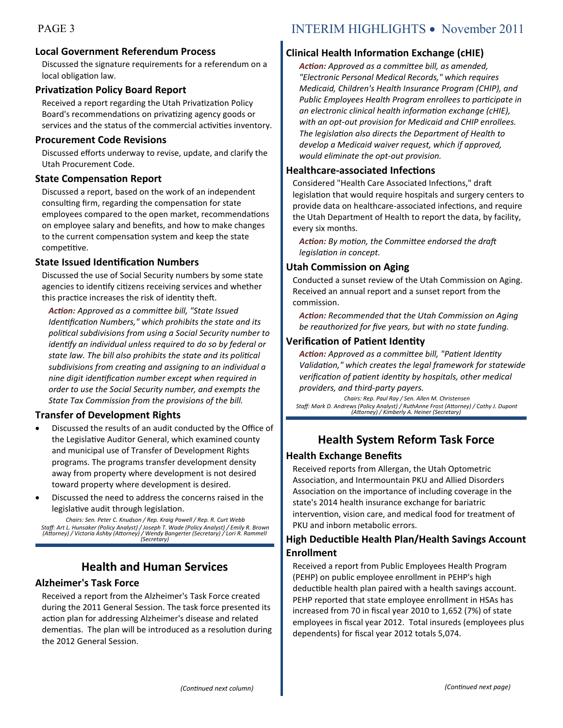#### **Local Government Referendum Process**

Discussed the signature requirements for a referendum on a local obligation law.

#### **Privatization Policy Board Report**

Received a report regarding the Utah Privatization Policy Board's recommendations on privatizing agency goods or services and the status of the commercial activities inventory.

#### **Procurement Code Revisions**

Discussed efforts underway to revise, update, and clarify the Utah Procurement Code.

#### **State Compensation Report**

Discussed a report, based on the work of an independent consulting firm, regarding the compensation for state employees compared to the open market, recommendations on employee salary and benefits, and how to make changes to the current compensation system and keep the state competitive.

#### **State Issued Identification Numbers**

Discussed the use of Social Security numbers by some state agencies to identify citizens receiving services and whether this practice increases the risk of identity theft.

*Action: Approved as a committee bill, "State Issued Identification Numbers," which prohibits the state and its political subdivisions from using a Social Security number to identify an individual unless required to do so by federal or state law. The bill also prohibits the state and its political subdivisions from creating and assigning to an individual a nine digit identification number except when required in order to use the Social Security number, and exempts the State Tax Commission from the provisions of the bill.*

#### **Transfer of Development Rights**

- Discussed the results of an audit conducted by the Office of the Legislative Auditor General, which examined county and municipal use of Transfer of Development Rights programs. The programs transfer development density away from property where development is not desired toward property where development is desired.
- Discussed the need to address the concerns raised in the legislative audit through legislation.

*Chairs: Sen. Peter C. Knudson / Rep. Kraig Powell / Rep. R. Curt Webb Staff: Art L. Hunsaker (Policy Analyst) / Joseph T. Wade (Policy Analyst) / Emily R. Brown (Attorney) / Victoria Ashby (Attorney) / Wendy Bangerter (Secretary) / Lori R. Rammell (Secretary)*

## **Health and Human Services**

#### **Alzheimer's Task Force**

Received a report from the Alzheimer's Task Force created during the 2011 General Session. The task force presented its action plan for addressing Alzheimer's disease and related dementias. The plan will be introduced as a resolution during the 2012 General Session.

# PAGE 3 INTERIM HIGHLIGHTS • November 2011

#### **Clinical Health Information Exchange (cHIE)**

*Action: Approved as a committee bill, as amended, "Electronic Personal Medical Records," which requires Medicaid, Children's Health Insurance Program (CHIP), and Public Employees Health Program enrollees to participate in an electronic clinical health information exchange (cHIE), with an opt-out provision for Medicaid and CHIP enrollees. The legislation also directs the Department of Health to develop a Medicaid waiver request, which if approved, would eliminate the opt-out provision.*

#### **Healthcare-associated Infections**

Considered "Health Care Associated Infections," draft legislation that would require hospitals and surgery centers to provide data on healthcare-associated infections, and require the Utah Department of Health to report the data, by facility, every six months.

*Action: By motion, the Committee endorsed the draft legislation in concept.*

#### **Utah Commission on Aging**

Conducted a sunset review of the Utah Commission on Aging. Received an annual report and a sunset report from the commission.

*Action: Recommended that the Utah Commission on Aging be reauthorized for five years, but with no state funding.*

#### **Verification of Patient Identity**

*Action: Approved as a committee bill, "Patient Identity Validation," which creates the legal framework for statewide verification of patient identity by hospitals, other medical providers, and third-party payers.*

*Chairs: Rep. Paul Ray / Sen. Allen M. Christensen Staff: Mark D. Andrews (Policy Analyst) / RuthAnne Frost (Attorney) / Cathy J. Dupont (Attorney) / Kimberly A. Heiner (Secretary)*

# **Health System Reform Task Force**

#### **Health Exchange Benefits**

Received reports from Allergan, the Utah Optometric Association, and Intermountain PKU and Allied Disorders Association on the importance of including coverage in the state's 2014 health insurance exchange for bariatric intervention, vision care, and medical food for treatment of PKU and inborn metabolic errors.

#### **High Deductible Health Plan/Health Savings Account Enrollment**

Received a report from Public Employees Health Program (PEHP) on public employee enrollment in PEHP's high deductible health plan paired with a health savings account. PEHP reported that state employee enrollment in HSAs has increased from 70 in fiscal year 2010 to 1,652 (7%) of state employees in fiscal year 2012. Total insureds (employees plus dependents) for fiscal year 2012 totals 5,074.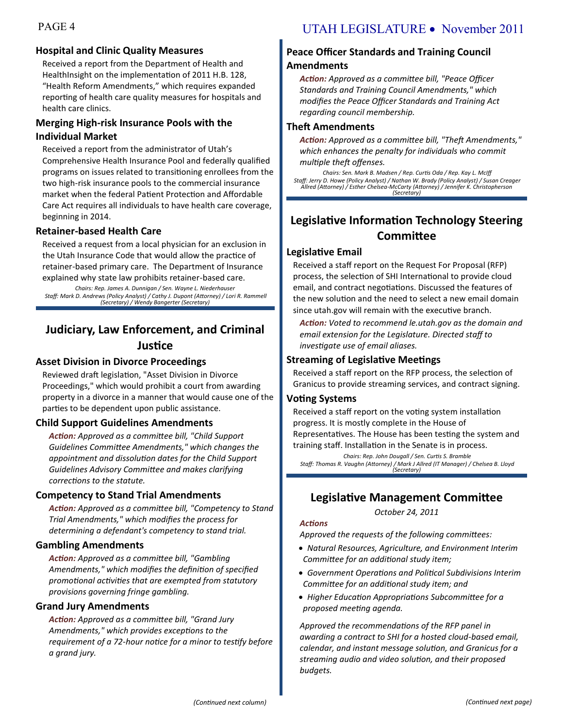### **Hospital and Clinic Quality Measures**

Received a report from the Department of Health and HealthInsight on the implementation of 2011 H.B. 128, "Health Reform Amendments," which requires expanded reporting of health care quality measures for hospitals and health care clinics.

#### **Merging High-risk Insurance Pools with the Individual Market**

Received a report from the administrator of Utah's Comprehensive Health Insurance Pool and federally qualified programs on issues related to transitioning enrollees from the two high-risk insurance pools to the commercial insurance market when the federal Patient Protection and Affordable Care Act requires all individuals to have health care coverage, beginning in 2014.

#### **Retainer-based Health Care**

Received a request from a local physician for an exclusion in the Utah Insurance Code that would allow the practice of retainer-based primary care. The Department of Insurance explained why state law prohibits retainer-based care.

*Chairs: Rep. James A. Dunnigan / Sen. Wayne L. Niederhauser Staff: Mark D. Andrews (Policy Analyst) / Cathy J. Dupont (Attorney) / Lori R. Rammell (Secretary) / Wendy Bangerter (Secretary)*

# **Judiciary, Law Enforcement, and Criminal Justice**

#### **Asset Division in Divorce Proceedings**

Reviewed draft legislation, "Asset Division in Divorce Proceedings," which would prohibit a court from awarding property in a divorce in a manner that would cause one of the parties to be dependent upon public assistance.

#### **Child Support Guidelines Amendments**

*Action: Approved as a committee bill, "Child Support Guidelines Committee Amendments," which changes the appointment and dissolution dates for the Child Support Guidelines Advisory Committee and makes clarifying corrections to the statute.*

#### **Competency to Stand Trial Amendments**

*Action: Approved as a committee bill, "Competency to Stand Trial Amendments," which modifies the process for determining a defendant's competency to stand trial.*

#### **Gambling Amendments**

*Action: Approved as a committee bill, "Gambling Amendments," which modifies the definition of specified promotional activities that are exempted from statutory provisions governing fringe gambling.*

#### **Grand Jury Amendments**

*Action: Approved as a committee bill, "Grand Jury Amendments," which provides exceptions to the requirement of a 72-hour notice for a minor to testify before a grand jury.*

### **Peace Officer Standards and Training Council Amendments**

*Action: Approved as a committee bill, "Peace Officer Standards and Training Council Amendments," which modifies the Peace Officer Standards and Training Act regarding council membership.*

#### **Theft Amendments**

*Action: Approved as a committee bill, "Theft Amendments," which enhances the penalty for individuals who commit multiple theft offenses.*

*Chairs: Sen. Mark B. Madsen / Rep. Curtis Oda / Rep. Kay L. McIff Staff: Jerry D. Howe (Policy Analyst) / Nathan W. Brady (Policy Analyst) / Susan Creager Allred (Attorney) / Esther Chelsea-McCarty (Attorney) / Jennifer K. Christopherson (Secretary)*

# **Legislative Information Technology Steering Committee**

#### **Legislative Email**

Received a staff report on the Request For Proposal (RFP) process, the selection of SHI International to provide cloud email, and contract negotiations. Discussed the features of the new solution and the need to select a new email domain since utah.gov will remain with the executive branch.

*Action: Voted to recommend le.utah.gov as the domain and email extension for the Legislature. Directed staff to investigate use of email aliases.*

### **Streaming of Legislative Meetings**

Received a staff report on the RFP process, the selection of Granicus to provide streaming services, and contract signing.

#### **Voting Systems**

Received a staff report on the voting system installation progress. It is mostly complete in the House of Representatives. The House has been testing the system and training staff. Installation in the Senate is in process.

*Chairs: Rep. John Dougall / Sen. Curtis S. Bramble Staff: Thomas R. Vaughn (Attorney) / Mark J Allred (IT Manager) / Chelsea B. Lloyd (Secretary)*

# **Legislative Management Committee**

*October 24, 2011*

#### *Actions*

*Approved the requests of the following committees:*

- *Natural Resources, Agriculture, and Environment Interim Committee for an additional study item;*
- *Government Operations and Political Subdivisions Interim Committee for an additional study item; and*
- *Higher Education Appropriations Subcommittee for a proposed meeting agenda.*

*Approved the recommendations of the RFP panel in awarding a contract to SHI for a hosted cloud-based email, calendar, and instant message solution, and Granicus for a streaming audio and video solution, and their proposed budgets.*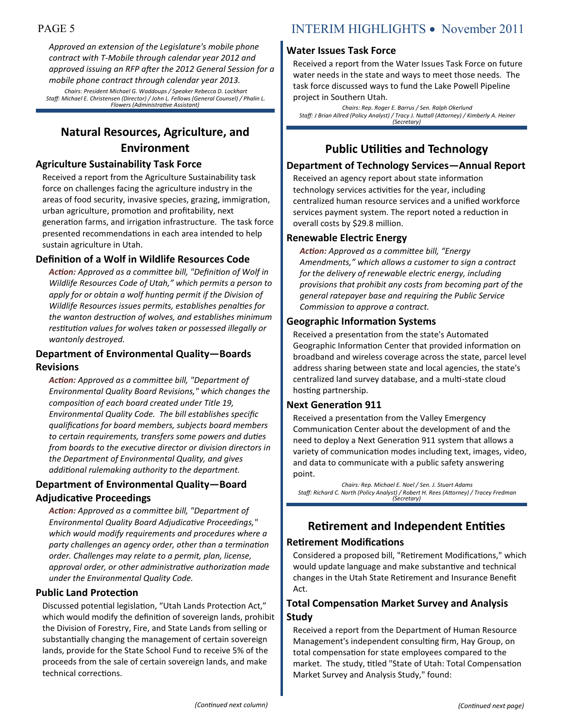*Approved an extension of the Legislature's mobile phone contract with T-Mobile through calendar year 2012 and approved issuing an RFP after the 2012 General Session for a mobile phone contract through calendar year 2013. Chairs: President Michael G. Waddoups / Speaker Rebecca D. Lockhart Staff: Michael E. Christensen (Director) / John L. Fellows (General Counsel) / Phalin L. Flowers (Administrative Assistant)*

# **Natural Resources, Agriculture, and Environment**

#### **Agriculture Sustainability Task Force**

Received a report from the Agriculture Sustainability task force on challenges facing the agriculture industry in the areas of food security, invasive species, grazing, immigration, urban agriculture, promotion and profitability, next generation farms, and irrigation infrastructure. The task force presented recommendations in each area intended to help sustain agriculture in Utah.

#### **Definition of a Wolf in Wildlife Resources Code**

*Action: Approved as a committee bill, "Definition of Wolf in Wildlife Resources Code of Utah," which permits a person to apply for or obtain a wolf hunting permit if the Division of Wildlife Resources issues permits, establishes penalties for the wanton destruction of wolves, and establishes minimum restitution values for wolves taken or possessed illegally or wantonly destroyed.*

#### **Department of Environmental Quality—Boards Revisions**

*Action: Approved as a committee bill, "Department of Environmental Quality Board Revisions," which changes the composition of each board created under Title 19, Environmental Quality Code. The bill establishes specific qualifications for board members, subjects board members to certain requirements, transfers some powers and duties from boards to the executive director or division directors in the Department of Environmental Quality, and gives additional rulemaking authority to the department.*

#### **Department of Environmental Quality—Board Adjudicative Proceedings**

*Action: Approved as a committee bill, "Department of Environmental Quality Board Adjudicative Proceedings," which would modify requirements and procedures where a party challenges an agency order, other than a termination order. Challenges may relate to a permit, plan, license, approval order, or other administrative authorization made under the Environmental Quality Code.*

#### **Public Land Protection**

Discussed potential legislation, "Utah Lands Protection Act," which would modify the definition of sovereign lands, prohibit the Division of Forestry, Fire, and State Lands from selling or substantially changing the management of certain sovereign lands, provide for the State School Fund to receive 5% of the proceeds from the sale of certain sovereign lands, and make technical corrections.

#### **Water Issues Task Force**

Received a report from the Water Issues Task Force on future water needs in the state and ways to meet those needs. The task force discussed ways to fund the Lake Powell Pipeline project in Southern Utah.

*Chairs: Rep. Roger E. Barrus / Sen. Ralph Okerlund Staff: J Brian Allred (Policy Analyst) / Tracy J. Nuttall (Attorney) / Kimberly A. Heiner (Secretary)*

# **Public Utilities and Technology**

#### **Department of Technology Services—Annual Report**

Received an agency report about state information technology services activities for the year, including centralized human resource services and a unified workforce services payment system. The report noted a reduction in overall costs by \$29.8 million.

#### **Renewable Electric Energy**

*Action: Approved as a committee bill, "Energy Amendments," which allows a customer to sign a contract for the delivery of renewable electric energy, including provisions that prohibit any costs from becoming part of the general ratepayer base and requiring the Public Service Commission to approve a contract.*

#### **Geographic Information Systems**

Received a presentation from the state's Automated Geographic Information Center that provided information on broadband and wireless coverage across the state, parcel level address sharing between state and local agencies, the state's centralized land survey database, and a multi-state cloud hosting partnership.

#### **Next Generation 911**

Received a presentation from the Valley Emergency Communication Center about the development of and the need to deploy a Next Generation 911 system that allows a variety of communication modes including text, images, video, and data to communicate with a public safety answering point.

*Chairs: Rep. Michael E. Noel / Sen. J. Stuart Adams Staff: Richard C. North (Policy Analyst) / Robert H. Rees (Attorney) / Tracey Fredman (Secretary)*

### **Retirement and Independent Entities**

#### **Retirement Modifications**

Considered a proposed bill, "Retirement Modifications," which would update language and make substantive and technical changes in the Utah State Retirement and Insurance Benefit Act.

#### **Total Compensation Market Survey and Analysis Study**

Received a report from the Department of Human Resource Management's independent consulting firm, Hay Group, on total compensation for state employees compared to the market. The study, titled "State of Utah: Total Compensation Market Survey and Analysis Study," found: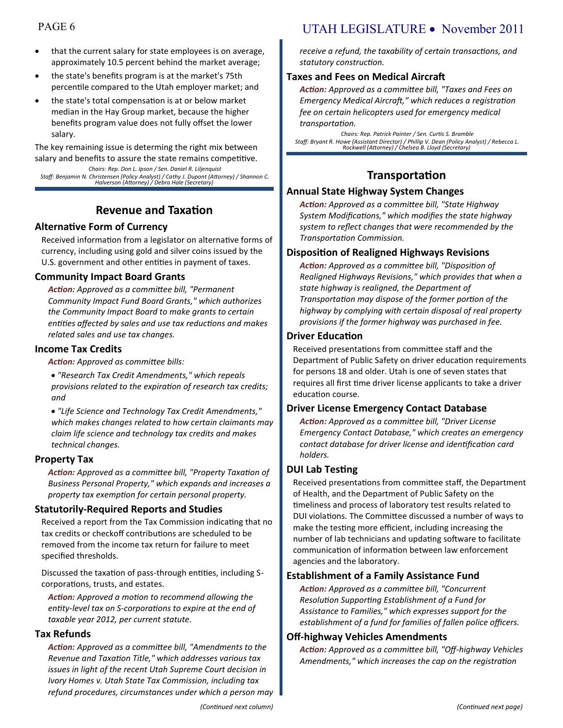- that the current salary for state employees is on average, approximately 10.5 percent behind the market average;
- the state's benefits program is at the market's 75th percentile compared to the Utah employer market; and
- the state's total compensation is at or below market median in the Hay Group market, because the higher benefits program value does not fully offset the lower salary.

The key remaining issue is determing the right mix between salary and benefits to assure the state remains competitive.

*Chairs: Rep. Don L. Ipson / Sen. Daniel R. Liljenquist Staff: Benjamin N. Christensen (Policy Analyst) / Cathy J. Dupont (Attorney) / Shannon C. Halverson (Attorney) / Debra Hale (Secretary)*

### **Revenue and Taxation**

#### **Alternative Form of Currency**

Received information from a legislator on alternative forms of currency, including using gold and silver coins issued by the U.S. government and other entities in payment of taxes.

#### **Community Impact Board Grants**

*Action: Approved as a committee bill, "Permanent Community Impact Fund Board Grants," which authorizes the Community Impact Board to make grants to certain entities affected by sales and use tax reductions and makes related sales and use tax changes.*

#### **Income Tax Credits**

*Action: Approved as committee bills:*

 *"Research Tax Credit Amendments," which repeals provisions related to the expiration of research tax credits; and*

 *"Life Science and Technology Tax Credit Amendments," which makes changes related to how certain claimants may claim life science and technology tax credits and makes technical changes.*

#### **Property Tax**

*Action: Approved as a committee bill, "Property Taxation of Business Personal Property," which expands and increases a property tax exemption for certain personal property.*

#### **Statutorily-Required Reports and Studies**

Received a report from the Tax Commission indicating that no tax credits or checkoff contributions are scheduled to be removed from the income tax return for failure to meet specified thresholds.

Discussed the taxation of pass-through entities, including Scorporations, trusts, and estates.

*Action: Approved a motion to recommend allowing the entity-level tax on S-corporations to expire at the end of taxable year 2012, per current statute.*

#### **Tax Refunds**

*Action: Approved as a committee bill, "Amendments to the Revenue and Taxation Title," which addresses various tax issues in light of the recent Utah Supreme Court decision in Ivory Homes v. Utah State Tax Commission, including tax refund procedures, circumstances under which a person may* 

# PAGE 6 UTAH LEGISLATURE • November 2011

*receive a refund, the taxability of certain transactions, and statutory construction.*

#### **Taxes and Fees on Medical Aircraft**

*Action: Approved as a committee bill, "Taxes and Fees on Emergency Medical Aircraft," which reduces a registration fee on certain helicopters used for emergency medical transportation.*

*Chairs: Rep. Patrick Painter / Sen. Curtis S. Bramble Staff: Bryant R. Howe (Assistant Director) / Phillip V. Dean (Policy Analyst) / Rebecca L. Rockwell (Attorney) / Chelsea B. Lloyd (Secretary)*

# **Transportation**

#### **Annual State Highway System Changes**

*Action: Approved as a committee bill, "State Highway System Modifications," which modifies the state highway system to reflect changes that were recommended by the Transportation Commission.*

#### **Disposition of Realigned Highways Revisions**

*Action: Approved as a committee bill, "Disposition of Realigned Highways Revisions," which provides that when a state highway is realigned, the Department of Transportation may dispose of the former portion of the highway by complying with certain disposal of real property provisions if the former highway was purchased in fee.*

#### **Driver Education**

Received presentations from committee staff and the Department of Public Safety on driver education requirements for persons 18 and older. Utah is one of seven states that requires all first time driver license applicants to take a driver education course.

#### **Driver License Emergency Contact Database**

*Action: Approved as a committee bill, "Driver License Emergency Contact Database," which creates an emergency contact database for driver license and identification card holders.*

#### **DUI Lab Testing**

Received presentations from committee staff, the Department of Health, and the Department of Public Safety on the timeliness and process of laboratory test results related to DUI violations. The Committee discussed a number of ways to make the testing more efficient, including increasing the number of lab technicians and updating software to facilitate communication of information between law enforcement agencies and the laboratory.

#### **Establishment of a Family Assistance Fund**

*Action: Approved as a committee bill, "Concurrent Resolution Supporting Establishment of a Fund for Assistance to Families," which expresses support for the establishment of a fund for families of fallen police officers.*

#### **Off-highway Vehicles Amendments**

*Action: Approved as a committee bill, "Off-highway Vehicles Amendments," which increases the cap on the registration*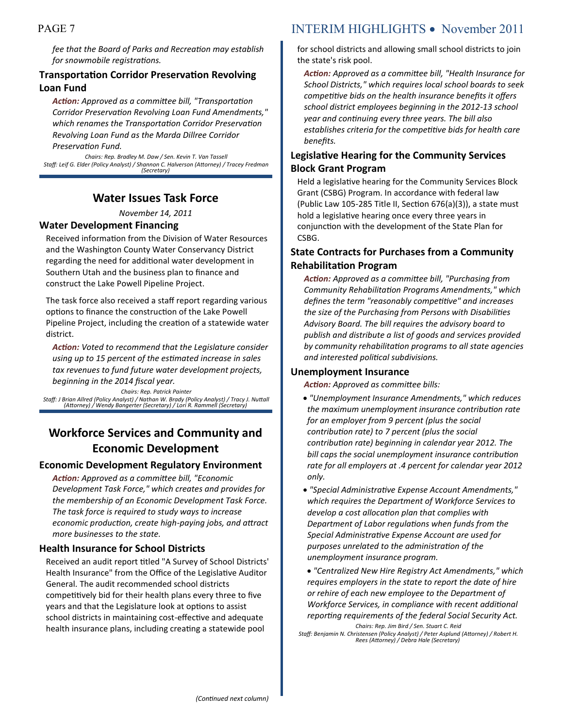*fee that the Board of Parks and Recreation may establish for snowmobile registrations.*

#### **Transportation Corridor Preservation Revolving Loan Fund**

*Action: Approved as a committee bill, "Transportation Corridor Preservation Revolving Loan Fund Amendments," which renames the Transportation Corridor Preservation Revolving Loan Fund as the Marda Dillree Corridor Preservation Fund.*

*Chairs: Rep. Bradley M. Daw / Sen. Kevin T. Van Tassell Staff: Leif G. Elder (Policy Analyst) / Shannon C. Halverson (Attorney) / Tracey Fredman (Secretary)*

#### **Water Issues Task Force**

*November 14, 2011*

#### **Water Development Financing**

Received information from the Division of Water Resources and the Washington County Water Conservancy District regarding the need for additional water development in Southern Utah and the business plan to finance and construct the Lake Powell Pipeline Project.

The task force also received a staff report regarding various options to finance the construction of the Lake Powell Pipeline Project, including the creation of a statewide water district.

*Action: Voted to recommend that the Legislature consider using up to 15 percent of the estimated increase in sales tax revenues to fund future water development projects, beginning in the 2014 fiscal year.*

*Chairs: Rep. Patrick Painter*

*Staff: J Brian Allred (Policy Analyst) / Nathan W. Brady (Policy Analyst) / Tracy J. Nuttall (Attorney) / Wendy Bangerter (Secretary) / Lori R. Rammell (Secretary)*

# **Workforce Services and Community and Economic Development**

#### **Economic Development Regulatory Environment**

*Action: Approved as a committee bill, "Economic Development Task Force," which creates and provides for the membership of an Economic Development Task Force. The task force is required to study ways to increase economic production, create high-paying jobs, and attract more businesses to the state.*

#### **Health Insurance for School Districts**

Received an audit report titled "A Survey of School Districts' Health Insurance" from the Office of the Legislative Auditor General. The audit recommended school districts competitively bid for their health plans every three to five years and that the Legislature look at options to assist school districts in maintaining cost-effective and adequate health insurance plans, including creating a statewide pool

# PAGE 7 INTERIM HIGHLIGHTS • November 2011

for school districts and allowing small school districts to join the state's risk pool.

*Action: Approved as a committee bill, "Health Insurance for School Districts," which requires local school boards to seek competitive bids on the health insurance benefits it offers school district employees beginning in the 2012-13 school year and continuing every three years. The bill also establishes criteria for the competitive bids for health care benefits.*

#### **Legislative Hearing for the Community Services Block Grant Program**

Held a legislative hearing for the Community Services Block Grant (CSBG) Program. In accordance with federal law (Public Law 105-285 Title II, Section 676(a)(3)), a state must hold a legislative hearing once every three years in conjunction with the development of the State Plan for CSBG.

#### **State Contracts for Purchases from a Community Rehabilitation Program**

*Action: Approved as a committee bill, "Purchasing from Community Rehabilitation Programs Amendments," which defines the term "reasonably competitive" and increases the size of the Purchasing from Persons with Disabilities Advisory Board. The bill requires the advisory board to publish and distribute a list of goods and services provided by community rehabilitation programs to all state agencies and interested political subdivisions.* 

#### **Unemployment Insurance**

*Action: Approved as committee bills:*

- *"Unemployment Insurance Amendments," which reduces the maximum unemployment insurance contribution rate for an employer from 9 percent (plus the social contribution rate) to 7 percent (plus the social contribution rate) beginning in calendar year 2012. The bill caps the social unemployment insurance contribution rate for all employers at .4 percent for calendar year 2012 only.*
- *"Special Administrative Expense Account Amendments," which requires the Department of Workforce Services to develop a cost allocation plan that complies with Department of Labor regulations when funds from the Special Administrative Expense Account are used for purposes unrelated to the administration of the unemployment insurance program.*

 *"Centralized New Hire Registry Act Amendments," which requires employers in the state to report the date of hire or rehire of each new employee to the Department of Workforce Services, in compliance with recent additional reporting requirements of the federal Social Security Act.*

*Chairs: Rep. Jim Bird / Sen. Stuart C. Reid*

*Staff: Benjamin N. Christensen (Policy Analyst) / Peter Asplund (Attorney) / Robert H. Rees (Attorney) / Debra Hale (Secretary)*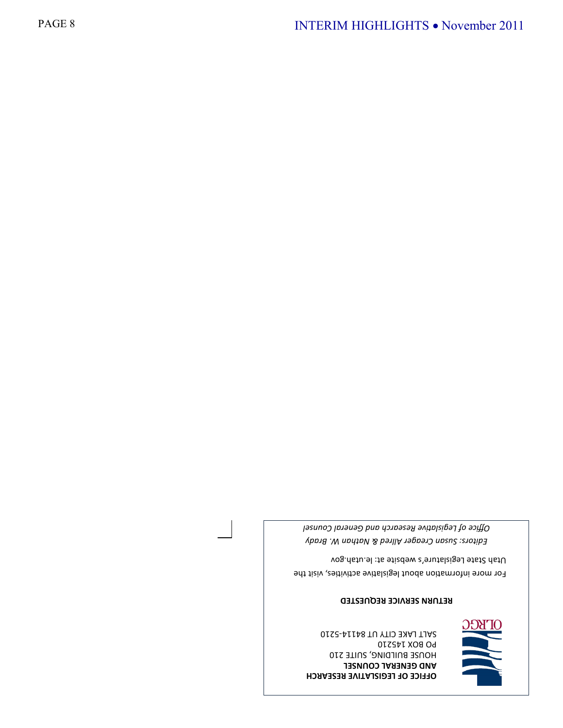**OFFICE OF LEGISLATIVE RESEARCH AND GENERAL COUNSEL** HOUSE BUILDING, SUITE 210 PO BOX 145210 SALT LAKE CITY UT 84114-5210



#### **RETURN SERVICE REQUESTED**

For more information about legislative activities, visit the Utah State Legislature's website at: le.utah.gov

*Editors: Susan Creager Allred & Nathan W. Brady Office of Legislative Research and General Counsel*